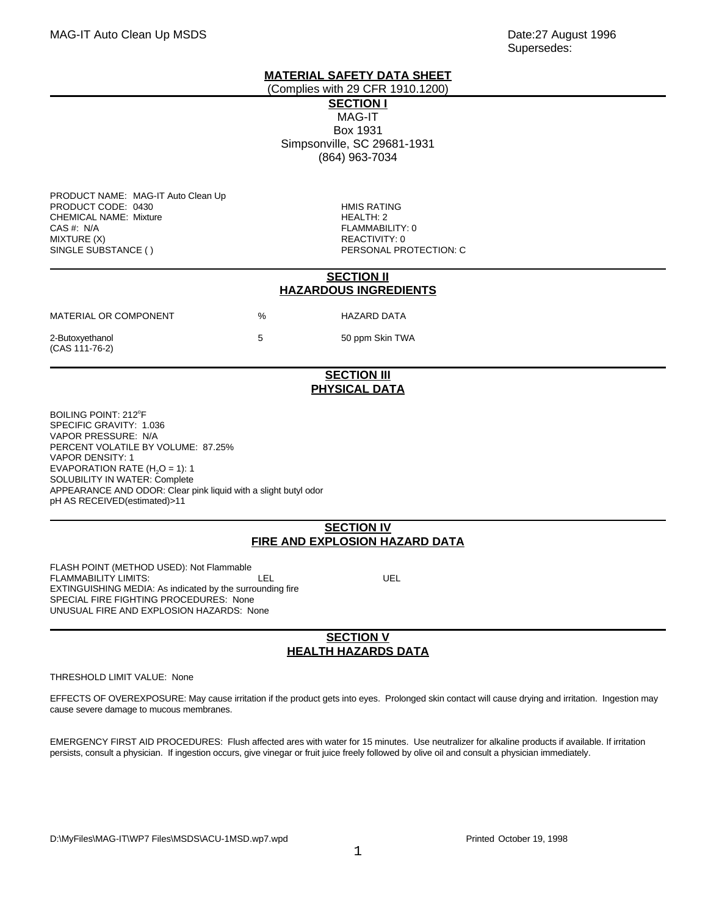Supersedes:

# **MATERIAL SAFETY DATA SHEET**

(Complies with 29 CFR 1910.1200)

**SECTION I** MAG-IT Box 1931 Simpsonville, SC 29681-1931 (864) 963-7034

PRODUCT NAME: MAG-IT Auto Clean Up PRODUCT CODE: 0430 **HMIS RATING** CHEMICAL NAME: Mixture **HEALTH: 2** CAS #: N/A FLAMMABILITY: 0 MIXTURE (X)<br>
SINGLE SUBSTANCE ( ) 
and the contraction of the contraction of the contraction of the contraction of the contra<br>
PERSONAL PR

PERSONAL PROTECTION: C

#### **SECTION II HAZARDOUS INGREDIENTS**

| MATERIAL OR COMPONENT             | % |
|-----------------------------------|---|
| 2-Butoxyethanol<br>(CAS 111-76-2) | 5 |

HAZARD DATA 50 ppm Skin TWA

# **SECTION III PHYSICAL DATA**

BOILING POINT: 212°F SPECIFIC GRAVITY: 1.036 VAPOR PRESSURE: N/A PERCENT VOLATILE BY VOLUME: 87.25% VAPOR DENSITY: 1 EVAPORATION RATE ( $H<sub>2</sub>O = 1$ ): 1 SOLUBILITY IN WATER: Complete APPEARANCE AND ODOR: Clear pink liquid with a slight butyl odor pH AS RECEIVED(estimated)>11

# **SECTION IV FIRE AND EXPLOSION HAZARD DATA**

FLASH POINT (METHOD USED): Not Flammable FLAMMABILITY LIMITS:  $\overline{L}$  LEL LEL UEL EXTINGUISHING MEDIA: As indicated by the surrounding fire SPECIAL FIRE FIGHTING PROCEDURES: None UNUSUAL FIRE AND EXPLOSION HAZARDS: None

# **SECTION V HEALTH HAZARDS DATA**

#### THRESHOLD LIMIT VALUE: None

EFFECTS OF OVEREXPOSURE: May cause irritation if the product gets into eyes. Prolonged skin contact will cause drying and irritation. Ingestion may cause severe damage to mucous membranes.

EMERGENCY FIRST AID PROCEDURES: Flush affected ares with water for 15 minutes. Use neutralizer for alkaline products if available. If irritation persists, consult a physician. If ingestion occurs, give vinegar or fruit juice freely followed by olive oil and consult a physician immediately.